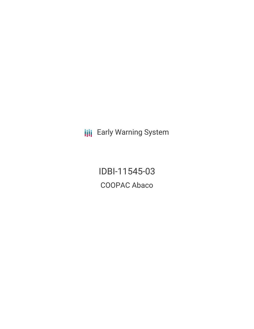**III** Early Warning System

IDBI-11545-03 COOPAC Abaco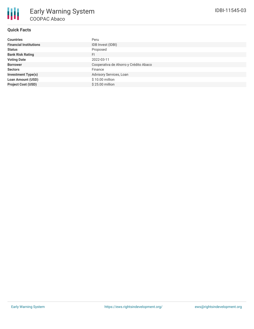# **Quick Facts**

| <b>Countries</b>              | Peru                                  |
|-------------------------------|---------------------------------------|
| <b>Financial Institutions</b> | IDB Invest (IDBI)                     |
| <b>Status</b>                 | Proposed                              |
| <b>Bank Risk Rating</b>       | FI                                    |
| <b>Voting Date</b>            | 2022-03-11                            |
| <b>Borrower</b>               | Cooperativa de Ahorro y Crédito Abaco |
| <b>Sectors</b>                | Finance                               |
| <b>Investment Type(s)</b>     | Advisory Services, Loan               |
| <b>Loan Amount (USD)</b>      | \$10.00 million                       |
| <b>Project Cost (USD)</b>     | \$25.00 million                       |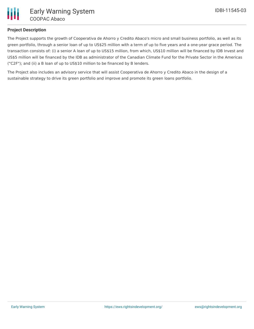

## **Project Description**

The Project supports the growth of Cooperativa de Ahorro y Credito Abaco's micro and small business portfolio, as well as its green portfolio, through a senior loan of up to US\$25 million with a term of up to five years and a one-year grace period. The transaction consists of: (i) a senior A loan of up to US\$15 million, from which, US\$10 million will be financed by IDB Invest and US\$5 million will be financed by the IDB as administrator of the Canadian Climate Fund for the Private Sector in the Americas ("C2F"); and (ii) a B loan of up to US\$10 million to be financed by B lenders.

The Project also includes an advisory service that will assist Cooperativa de Ahorro y Credito Abaco in the design of a sustainable strategy to drive its green portfolio and improve and promote its green loans portfolio.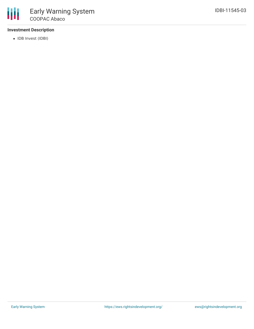

## **Investment Description**

• IDB Invest (IDBI)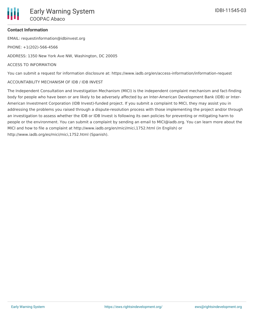### **Contact Information**

EMAIL: requestinformation@idbinvest.org

PHONE: +1(202)-566-4566

ADDRESS: 1350 New York Ave NW, Washington, DC 20005

### ACCESS TO INFORMATION

You can submit a request for information disclosure at: https://www.iadb.org/en/access-information/information-request

### ACCOUNTABILITY MECHANISM OF IDB / IDB INVEST

The Independent Consultation and Investigation Mechanism (MICI) is the independent complaint mechanism and fact-finding body for people who have been or are likely to be adversely affected by an Inter-American Development Bank (IDB) or Inter-American Investment Corporation (IDB Invest)-funded project. If you submit a complaint to MICI, they may assist you in addressing the problems you raised through a dispute-resolution process with those implementing the project and/or through an investigation to assess whether the IDB or IDB Invest is following its own policies for preventing or mitigating harm to people or the environment. You can submit a complaint by sending an email to MICI@iadb.org. You can learn more about the MICI and how to file a complaint at http://www.iadb.org/en/mici/mici,1752.html (in English) or http://www.iadb.org/es/mici/mici,1752.html (Spanish).